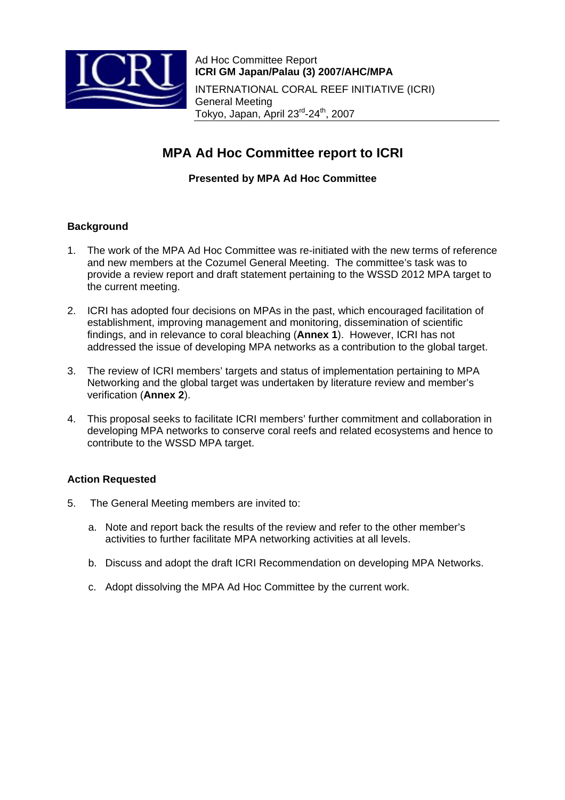

# **MPA Ad Hoc Committee report to ICRI**

### **Presented by MPA Ad Hoc Committee**

#### **Background**

- 1. The work of the MPA Ad Hoc Committee was re-initiated with the new terms of reference and new members at the Cozumel General Meeting. The committee's task was to provide a review report and draft statement pertaining to the WSSD 2012 MPA target to the current meeting.
- 2. ICRI has adopted four decisions on MPAs in the past, which encouraged facilitation of establishment, improving management and monitoring, dissemination of scientific findings, and in relevance to coral bleaching (**Annex 1**). However, ICRI has not addressed the issue of developing MPA networks as a contribution to the global target.
- 3. The review of ICRI members' targets and status of implementation pertaining to MPA Networking and the global target was undertaken by literature review and member's verification (**Annex 2**).
- 4. This proposal seeks to facilitate ICRI members' further commitment and collaboration in developing MPA networks to conserve coral reefs and related ecosystems and hence to contribute to the WSSD MPA target.

#### **Action Requested**

- 5. The General Meeting members are invited to:
	- a. Note and report back the results of the review and refer to the other member's activities to further facilitate MPA networking activities at all levels.
	- b. Discuss and adopt the draft ICRI Recommendation on developing MPA Networks.
	- c. Adopt dissolving the MPA Ad Hoc Committee by the current work.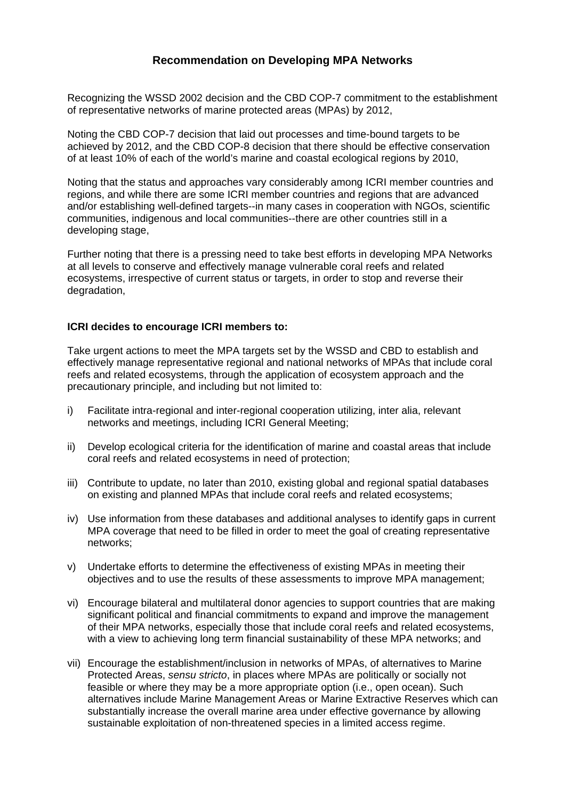## **Recommendation on Developing MPA Networks**

Recognizing the WSSD 2002 decision and the CBD COP-7 commitment to the establishment of representative networks of marine protected areas (MPAs) by 2012,

Noting the CBD COP-7 decision that laid out processes and time-bound targets to be achieved by 2012, and the CBD COP-8 decision that there should be effective conservation of at least 10% of each of the world's marine and coastal ecological regions by 2010,

Noting that the status and approaches vary considerably among ICRI member countries and regions, and while there are some ICRI member countries and regions that are advanced and/or establishing well-defined targets--in many cases in cooperation with NGOs, scientific communities, indigenous and local communities--there are other countries still in a developing stage,

Further noting that there is a pressing need to take best efforts in developing MPA Networks at all levels to conserve and effectively manage vulnerable coral reefs and related ecosystems, irrespective of current status or targets, in order to stop and reverse their degradation,

#### **ICRI decides to encourage ICRI members to:**

Take urgent actions to meet the MPA targets set by the WSSD and CBD to establish and effectively manage representative regional and national networks of MPAs that include coral reefs and related ecosystems, through the application of ecosystem approach and the precautionary principle, and including but not limited to:

- i) Facilitate intra-regional and inter-regional cooperation utilizing, inter alia, relevant networks and meetings, including ICRI General Meeting;
- ii) Develop ecological criteria for the identification of marine and coastal areas that include coral reefs and related ecosystems in need of protection;
- iii) Contribute to update, no later than 2010, existing global and regional spatial databases on existing and planned MPAs that include coral reefs and related ecosystems;
- iv) Use information from these databases and additional analyses to identify gaps in current MPA coverage that need to be filled in order to meet the goal of creating representative networks;
- v) Undertake efforts to determine the effectiveness of existing MPAs in meeting their objectives and to use the results of these assessments to improve MPA management;
- vi) Encourage bilateral and multilateral donor agencies to support countries that are making significant political and financial commitments to expand and improve the management of their MPA networks, especially those that include coral reefs and related ecosystems, with a view to achieving long term financial sustainability of these MPA networks; and
- vii) Encourage the establishment/inclusion in networks of MPAs, of alternatives to Marine Protected Areas, *sensu stricto*, in places where MPAs are politically or socially not feasible or where they may be a more appropriate option (i.e., open ocean). Such alternatives include Marine Management Areas or Marine Extractive Reserves which can substantially increase the overall marine area under effective governance by allowing sustainable exploitation of non-threatened species in a limited access regime.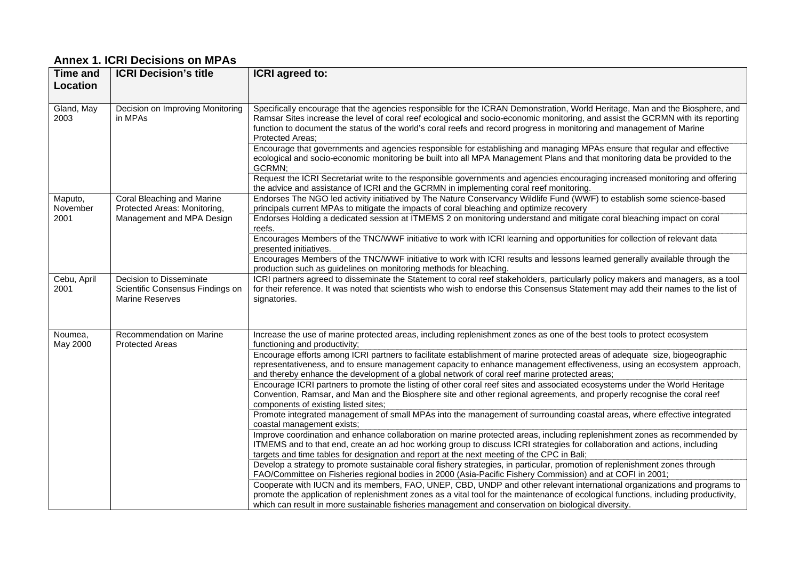# **Annex 1. ICRI Decisions on MPAs**

| <b>Time and</b><br>Location | <b>ICRI Decision's title</b>                                                            | ICRI agreed to:                                                                                                                                                                                                                                                                                                                                                                                                     |
|-----------------------------|-----------------------------------------------------------------------------------------|---------------------------------------------------------------------------------------------------------------------------------------------------------------------------------------------------------------------------------------------------------------------------------------------------------------------------------------------------------------------------------------------------------------------|
|                             |                                                                                         |                                                                                                                                                                                                                                                                                                                                                                                                                     |
| Gland, May<br>2003          | Decision on Improving Monitoring<br>in MPAs                                             | Specifically encourage that the agencies responsible for the ICRAN Demonstration, World Heritage, Man and the Biosphere, and<br>Ramsar Sites increase the level of coral reef ecological and socio-economic monitoring, and assist the GCRMN with its reporting<br>function to document the status of the world's coral reefs and record progress in monitoring and management of Marine<br><b>Protected Areas:</b> |
|                             |                                                                                         | Encourage that governments and agencies responsible for establishing and managing MPAs ensure that regular and effective<br>ecological and socio-economic monitoring be built into all MPA Management Plans and that monitoring data be provided to the<br>GCRMN;                                                                                                                                                   |
|                             |                                                                                         | Request the ICRI Secretariat write to the responsible governments and agencies encouraging increased monitoring and offering<br>the advice and assistance of ICRI and the GCRMN in implementing coral reef monitoring.                                                                                                                                                                                              |
| Maputo,<br>November         | Coral Bleaching and Marine<br>Protected Areas: Monitoring,<br>Management and MPA Design | Endorses The NGO led activity initiatived by The Nature Conservancy Wildlife Fund (WWF) to establish some science-based<br>principals current MPAs to mitigate the impacts of coral bleaching and optimize recovery                                                                                                                                                                                                 |
| 2001                        |                                                                                         | Endorses Holding a dedicated session at ITMEMS 2 on monitoring understand and mitigate coral bleaching impact on coral<br>reefs.                                                                                                                                                                                                                                                                                    |
|                             |                                                                                         | Encourages Members of the TNC/WWF initiative to work with ICRI learning and opportunities for collection of relevant data<br>presented initiatives.                                                                                                                                                                                                                                                                 |
|                             |                                                                                         | Encourages Members of the TNC/WWF initiative to work with ICRI results and lessons learned generally available through the<br>production such as guidelines on monitoring methods for bleaching.                                                                                                                                                                                                                    |
| Cebu, April<br>2001         | Decision to Disseminate<br>Scientific Consensus Findings on<br><b>Marine Reserves</b>   | ICRI partners agreed to disseminate the Statement to coral reef stakeholders, particularly policy makers and managers, as a tool<br>for their reference. It was noted that scientists who wish to endorse this Consensus Statement may add their names to the list of<br>signatories.                                                                                                                               |
| Noumea,<br>May 2000         | Recommendation on Marine<br><b>Protected Areas</b>                                      | Increase the use of marine protected areas, including replenishment zones as one of the best tools to protect ecosystem<br>functioning and productivity;                                                                                                                                                                                                                                                            |
|                             |                                                                                         | Encourage efforts among ICRI partners to facilitate establishment of marine protected areas of adequate size, biogeographic<br>representativeness, and to ensure management capacity to enhance management effectiveness, using an ecosystem approach,<br>and thereby enhance the development of a global network of coral reef marine protected areas;                                                             |
|                             |                                                                                         | Encourage ICRI partners to promote the listing of other coral reef sites and associated ecosystems under the World Heritage<br>Convention, Ramsar, and Man and the Biosphere site and other regional agreements, and properly recognise the coral reef<br>components of existing listed sites;                                                                                                                      |
|                             |                                                                                         | Promote integrated management of small MPAs into the management of surrounding coastal areas, where effective integrated<br>coastal management exists;                                                                                                                                                                                                                                                              |
|                             |                                                                                         | Improve coordination and enhance collaboration on marine protected areas, including replenishment zones as recommended by<br>ITMEMS and to that end, create an ad hoc working group to discuss ICRI strategies for collaboration and actions, including<br>targets and time tables for designation and report at the next meeting of the CPC in Bali;                                                               |
|                             |                                                                                         | Develop a strategy to promote sustainable coral fishery strategies, in particular, promotion of replenishment zones through<br>FAO/Committee on Fisheries regional bodies in 2000 (Asia-Pacific Fishery Commission) and at COFI in 2001;                                                                                                                                                                            |
|                             |                                                                                         | Cooperate with IUCN and its members, FAO, UNEP, CBD, UNDP and other relevant international organizations and programs to<br>promote the application of replenishment zones as a vital tool for the maintenance of ecological functions, including productivity,<br>which can result in more sustainable fisheries management and conservation on biological diversity.                                              |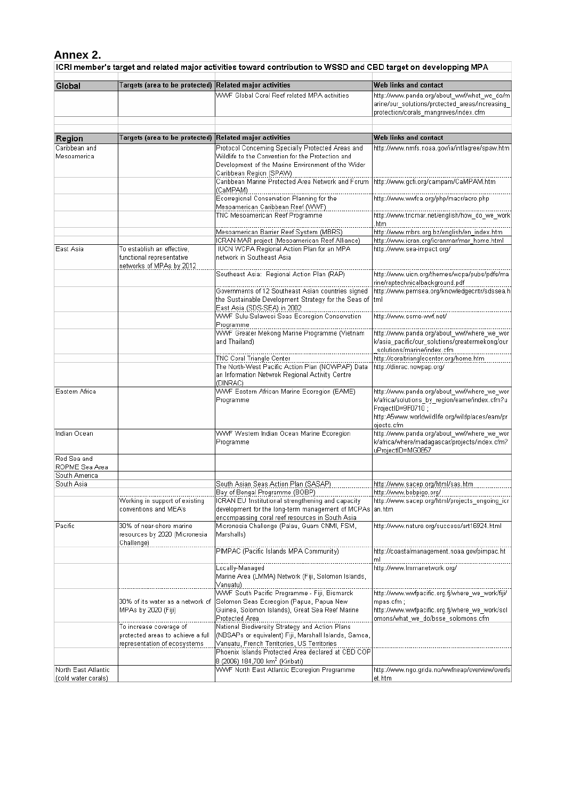Annex 2.<br>ICRI member's target and related major activities toward contribution to WSSD and CBD target on developping MPA

| Global              | Targets (area to be protected) Related major activities |                                                                                                         | Web links and contact                                                        |
|---------------------|---------------------------------------------------------|---------------------------------------------------------------------------------------------------------|------------------------------------------------------------------------------|
|                     |                                                         | WWF Global Coral Reef related MPA activities                                                            | http://www.panda.org/about_wwf/what_we_do/m                                  |
|                     |                                                         |                                                                                                         | arine/our_solutions/protected_areas/increasing_                              |
|                     |                                                         |                                                                                                         | protection/corals_mangroves/index.cfm                                        |
|                     |                                                         |                                                                                                         |                                                                              |
|                     |                                                         |                                                                                                         |                                                                              |
| Region              | Targets (area to be protected)                          | Related major activities                                                                                | Web links and contact                                                        |
| Caribbean and       |                                                         | Protocol Concerning Specially Protected Areas and                                                       | http://www.nmfs.noaa.gov/ia/intlagree/spaw.htm                               |
| Mesoamerica         |                                                         | Wildlife to the Convention for the Protection and                                                       |                                                                              |
|                     |                                                         | Development of the Marine Environment of the Wider                                                      |                                                                              |
|                     |                                                         | Caribbean Region (SPAW)                                                                                 |                                                                              |
|                     |                                                         | Caribbean Marine Protected Area Network and Forum                                                       | http://www.gcfi.org/campam/CaMPAM.htm                                        |
|                     |                                                         | (CaMPAM)                                                                                                |                                                                              |
|                     |                                                         | Ecorregional Conservation Planning for the                                                              |                                                                              |
|                     |                                                         | Mesoamerican Caribbean Reef (WWF)                                                                       |                                                                              |
|                     |                                                         | TNC Mesoamerican Reef Programme                                                                         | http://www.tncmar.net/english/how_do_we_work                                 |
|                     |                                                         |                                                                                                         | htm                                                                          |
|                     |                                                         | Mesoamerican Barrier Reef System (MBRS)                                                                 | <br>http://www.mbrs.org.bz/english/en_index.htm                              |
|                     |                                                         | ICRAN-MAR project (Mesoamerican Reef Alliance)                                                          | http://www.icran.org/icranmar/mar_home.html                                  |
| East Asia           | To establish an effective,                              | <b>IUCN WCPA Regional Action Plan for an MPA</b>                                                        | http://www.sea-impact.org/                                                   |
|                     | functional representative                               | network in Southeast Asia                                                                               |                                                                              |
|                     | networks of MPAs by 2012                                |                                                                                                         |                                                                              |
|                     |                                                         | Southeast Asia: Regional Action Plan (RAP)                                                              | http://www.uicn.org/themes/wcpa/pubs/pdfs/ma                                 |
|                     |                                                         |                                                                                                         | rine/raptechnicalbackground.pdf                                              |
|                     |                                                         | Governments of 12 Southeast Asian countries signed                                                      | http://www.pemsea.org/knowledgecntr/sdssea.h                                 |
|                     |                                                         |                                                                                                         |                                                                              |
|                     |                                                         | the Sustainable Development Strategy for the Seas of tml<br>East Asia (SDS-SEA) in 2002                 |                                                                              |
|                     |                                                         | WWF Sulu-Sulawesi Seas Ecoregion Conservation                                                           | http://www.ssme-wwf.net/                                                     |
|                     |                                                         | Programme                                                                                               |                                                                              |
|                     |                                                         |                                                                                                         | http://www.panda.org/about_wwf/where_we_wor                                  |
|                     |                                                         |                                                                                                         |                                                                              |
|                     |                                                         | and Thailand)                                                                                           | k/asia_pacific/our_solutions/greatermekong/our<br>solutions/marine/index.cfm |
|                     |                                                         |                                                                                                         | http://coraltrianglecenter.org/home.htm                                      |
|                     |                                                         | TNC Coral Triangle Center                                                                               |                                                                              |
|                     |                                                         | The North-West Pacific Action Plan (NOWPAP) Data<br>an Information Netwrok Regional Activity Centre     | http://dinrac.nowpap.org/                                                    |
|                     |                                                         | (DINRAC)                                                                                                |                                                                              |
| Eastern Africa      |                                                         | WWF Eastern African Marine Ecoregion (EAME)                                                             | http://www.panda.org/about_wwf/where_we_wor                                  |
|                     |                                                         | Programme                                                                                               | k/africa/solutions_by_region/eame/index.cfm?u                                |
|                     |                                                         |                                                                                                         | ProjectID=9F0710;                                                            |
|                     |                                                         |                                                                                                         | http:A5www.worldwildlife.org/wildplaces/eam/pr                               |
|                     |                                                         |                                                                                                         |                                                                              |
| Indian Ocean        |                                                         |                                                                                                         | ojects.cfm                                                                   |
|                     |                                                         | WWF Western Indian Ocean Marine Ecoregion                                                               | http://www.panda.org/about_wwf/where_we_wor                                  |
|                     |                                                         | Programme                                                                                               | k/africa/where/madagascar/projects/index.cfm?                                |
| Red Sea and         |                                                         |                                                                                                         | uProjectID=MG0857                                                            |
| ROPME Sea Area      |                                                         |                                                                                                         |                                                                              |
| South America       |                                                         |                                                                                                         |                                                                              |
| South Asia          |                                                         | South Asian Seas Action Plan (SASAP)                                                                    | http://www.sacep.org/html/sas.htm                                            |
|                     |                                                         | Bay of Bengal Programme (BOBP)                                                                          | http://www.bobpigo.org/                                                      |
|                     |                                                         |                                                                                                         |                                                                              |
|                     | Working in support of existing<br>conventions and MEA's | ICRAN EU 'Institutional strengthening and capacity<br>development for the long-term management of MCPAs | http://www.sacep.org/html/projects-ongoing-icr-                              |
|                     |                                                         | encompassing coral reef resources in South Asia                                                         | an.htm                                                                       |
| Pacific             | 30% of near-shore marine                                | Micronesia Challenge (Palau, Guam CNMI, FSM,                                                            | http://www.nature.org/success/art16924.html                                  |
|                     | resources by 2020 (Micronesia                           | Marshalls)                                                                                              |                                                                              |
|                     | Challenge)                                              |                                                                                                         |                                                                              |
|                     |                                                         | PIMPAC (Pacific Islands MPA Community)                                                                  | http://coastalmanagement.noaa.gov/pimpac.ht                                  |
|                     |                                                         |                                                                                                         | ml                                                                           |
|                     |                                                         | Locally-Managed                                                                                         | http://www.lmmanetwork.org/                                                  |
|                     |                                                         | Marine Area (LMMA) Network (Fiji, Solomon Islands,                                                      |                                                                              |
|                     |                                                         |                                                                                                         |                                                                              |
|                     |                                                         | Vanuatu).<br>WWF South Pacific Programme - Fiji, Bismarck                                               | http://www.wwfpacific.org.fj/where we work/fiji/                             |
|                     | 30% of its water as a network of                        | Solomon Seas Ecreogion (Papua, Papua New                                                                |                                                                              |
|                     |                                                         |                                                                                                         | $mpas.cfm$ ;                                                                 |
|                     | MPAs by 2020 (Fiji)                                     | Guinea, Solomon Islands), Great Sea Reef Marine                                                         | http://www.wwfpacific.org.fj/where_we_work/sol                               |
|                     |                                                         | Protected Area                                                                                          | omons/what we do/bsse solomons.cfm                                           |
|                     | To increase coverage of                                 | National Biodiversity Strategy and Action Plans                                                         |                                                                              |
|                     | protected areas to achieve a full                       | (NBSAPs or equivalent) Fiji, Marshall Islands, Samoa,                                                   |                                                                              |
|                     | representation of ecosystems                            | Vanuatu, French Territories, US Territories                                                             |                                                                              |
|                     |                                                         | Phoenix Islands Protected Area declared at CBD COP                                                      |                                                                              |
|                     |                                                         | 8 (2006) 184,700 km <sup>2</sup> (Kiribati)                                                             |                                                                              |
| North East Atlantic |                                                         | WWF North East Atlantic Ecoregion Programme                                                             | http://www.ngo.grida.no/wwfneap/overview/overfs                              |
| (cold water corals) |                                                         |                                                                                                         | et.htm                                                                       |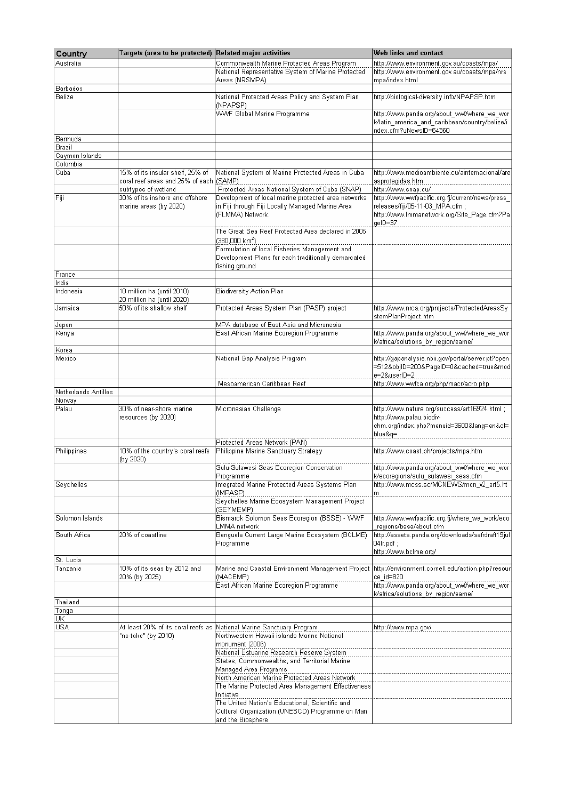| Country                        | Targets (area to be protected) Related major activities         |                                                                                                                                                                                      | Web links and contact                                                                                                              |
|--------------------------------|-----------------------------------------------------------------|--------------------------------------------------------------------------------------------------------------------------------------------------------------------------------------|------------------------------------------------------------------------------------------------------------------------------------|
| Australia                      |                                                                 | Commonwealth Marine Protected Areas Program                                                                                                                                          | http://www.environment.gov.au/coasts/mpa/                                                                                          |
|                                |                                                                 | National Representative System of Marine Protected                                                                                                                                   | http://www.environment.gov.au/coasts/mpa/nrs                                                                                       |
|                                |                                                                 | Areas (NRSMPA)                                                                                                                                                                       | mpa/index.html                                                                                                                     |
| Barbados<br>Belize             |                                                                 | National Protected Areas Policy and System Plan                                                                                                                                      | http://biological-diversity.info/NPAPSP.htm                                                                                        |
|                                |                                                                 | (NPAPSP)                                                                                                                                                                             |                                                                                                                                    |
|                                |                                                                 | <b>WWF Global Marine Programme</b>                                                                                                                                                   | http://www.panda.org/about_wwf/where_we_wor<br>k/latin_america_and_caribbean/country/belize/i<br>ndex.cfm?uNewsID=64360            |
| Bermuda                        |                                                                 |                                                                                                                                                                                      |                                                                                                                                    |
| Brazil                         |                                                                 |                                                                                                                                                                                      |                                                                                                                                    |
| Cayman Islands<br>Colombia     |                                                                 |                                                                                                                                                                                      |                                                                                                                                    |
| Cuba                           | 15% of its insular shelf, 25% of                                | National System of Marine Protected Areas in Cuba                                                                                                                                    | http://www.medioambiente.cu/ainternacional/are                                                                                     |
|                                | coral reef areas and 25% of each (SAMP).<br>subtypes of wetland | Protected Areas National System of Cuba (SNAP)                                                                                                                                       | asprotegidas.htm<br>http://www.snap.cu/                                                                                            |
| Fiji                           | 30% of its inshore and offshore<br>marine areas (bγ 2020)       | Development of local marine protected area networks<br>in Fiji through Fiji Locally Managed Marine Area<br>(FLMMA) Network.                                                          | http://www.wwfpacific.org.fj/current/news/press_<br>releases/fiji/05-11-03 MPA.cfm;<br>http://www.lmmanetwork.org/Site_Page.cfm?Pa |
|                                |                                                                 | The Great Sea Reef Protected Area declared in 2005<br>(380,000 km <sup>2</sup> )                                                                                                     | geID=37                                                                                                                            |
|                                |                                                                 | Formulation of local Fisheries Management and<br>Development Plans for each traditionally demarcated<br>fishing ground                                                               |                                                                                                                                    |
| France                         |                                                                 |                                                                                                                                                                                      |                                                                                                                                    |
| India                          |                                                                 |                                                                                                                                                                                      |                                                                                                                                    |
| Indonesia                      | 10 million ha (until 2010)<br>20 million ha (until 2020)        | <b>Biodiversity Action Plan</b>                                                                                                                                                      |                                                                                                                                    |
| Jamaica                        | 50% of its shallow shelf                                        | Protected Areas System Plan (PASP) project                                                                                                                                           | http://www.nrca.org/projects/ProtectedAreasSy<br>stemPlanProject.htm                                                               |
| Japan<br>Kenya                 |                                                                 | MPA database of East Asia and Micronesia<br>East African Marine Ecoregion Programme                                                                                                  | http://www.panda.org/about_wwf/where_we_wor                                                                                        |
|                                |                                                                 |                                                                                                                                                                                      | k/africa/solutions_by_region/eame/                                                                                                 |
| Korea                          |                                                                 |                                                                                                                                                                                      |                                                                                                                                    |
| Mexico                         |                                                                 | National Gap Analysis Program                                                                                                                                                        | http://gapanalysis.nbii.gov/portal/server.pt?open-<br>=512&objlD=200&PageID=0&cached=true&mod<br>e=2&userID=2                      |
|                                |                                                                 | Mesoamerican Caribbean Reef                                                                                                                                                          | http://www.wwfca.org/php/macr/acro.php                                                                                             |
| Netherlands Antilles<br>Norway |                                                                 |                                                                                                                                                                                      |                                                                                                                                    |
| Palau                          | 30% of near-shore marine<br>resources (by 2020)                 | Micronesian Challenge                                                                                                                                                                | http://www.nature.org/success/art16924.html ;<br>http://www.palau.biodiv-<br>chm.org/index.php?menuid=3600⟨=en&cl=<br>blue&q=      |
|                                |                                                                 | Protected Areas Network (PAN)                                                                                                                                                        |                                                                                                                                    |
| Philippines                    | 10% of the country's coral reefs                                | Philippine Marine Sanctuary Strategy                                                                                                                                                 | http://www.coast.ph/projects/mpa.htm                                                                                               |
|                                | (by 2020)                                                       |                                                                                                                                                                                      |                                                                                                                                    |
| Seychelles                     |                                                                 | Programme<br>Integrated Marine Protected Areas Systems Plan                                                                                                                          | k/ecoregions/sulu_sulawesi_seas.cfm<br>http://www.mcss.sc/MCNEWS/mcn_v2_art5.ht                                                    |
|                                |                                                                 | (IMPASP)<br>Seychelles Marine Ecosystem Management Project<br>(SEYMEMP)                                                                                                              | m                                                                                                                                  |
| Solomon Islands                |                                                                 | Bismarck Solomon Seas Ecoregion (BSSE) - WWF                                                                                                                                         | http://www.wwfpacific.org.fj/where_we_work/eco                                                                                     |
|                                |                                                                 | LMMA network                                                                                                                                                                         | regions/bsse/about.cfm                                                                                                             |
| South Africa                   | 20% of coastline                                                | Benguela Current Large Marine Ecosystem (BCLME)<br>Programme                                                                                                                         | http://assets.panda.org/downloads/safrdraft19jul<br>04lr.pdf;<br>http://www.bclme.org/                                             |
| St. Lucia                      |                                                                 |                                                                                                                                                                                      |                                                                                                                                    |
| Tanzania                       | 10% of its seas by 2012 and<br>20% (by 2025)                    | Marine and Coastal Environment Management Project   http://environment.cornell.edu/action.php?resour<br>(MACEMP)                                                                     | ce id=820                                                                                                                          |
|                                |                                                                 | East African Marine Ecoregion Programme                                                                                                                                              | http://www.panda.org/about_wwf/where_we_wor<br>k/africa/solutions by region/eame/                                                  |
| Thailand                       |                                                                 |                                                                                                                                                                                      |                                                                                                                                    |
| Tonga                          |                                                                 |                                                                                                                                                                                      |                                                                                                                                    |
| UK                             |                                                                 |                                                                                                                                                                                      |                                                                                                                                    |
| USA                            | "no-take" (bγ 2010)                                             | At least 20% of its coral reefs as National Marine Sanctuary Program<br>Northwestern Hawaii islands Marine National<br>monument (2006)<br>National Estuarine Research Reserve System | http://www.mpa.gov/                                                                                                                |
|                                |                                                                 | States, Commonwealths, and Territorial Marine<br>Managed Area Programs                                                                                                               |                                                                                                                                    |
|                                |                                                                 | North American Marine Protected Areas Network<br>The Marine Protected Area Management Effectiveness<br>Initiative                                                                    |                                                                                                                                    |
|                                |                                                                 | The United Nation's Educational, Scientific and<br>Cultural Organization (UNESCO) Programme on Man<br>and the Biosphere                                                              |                                                                                                                                    |